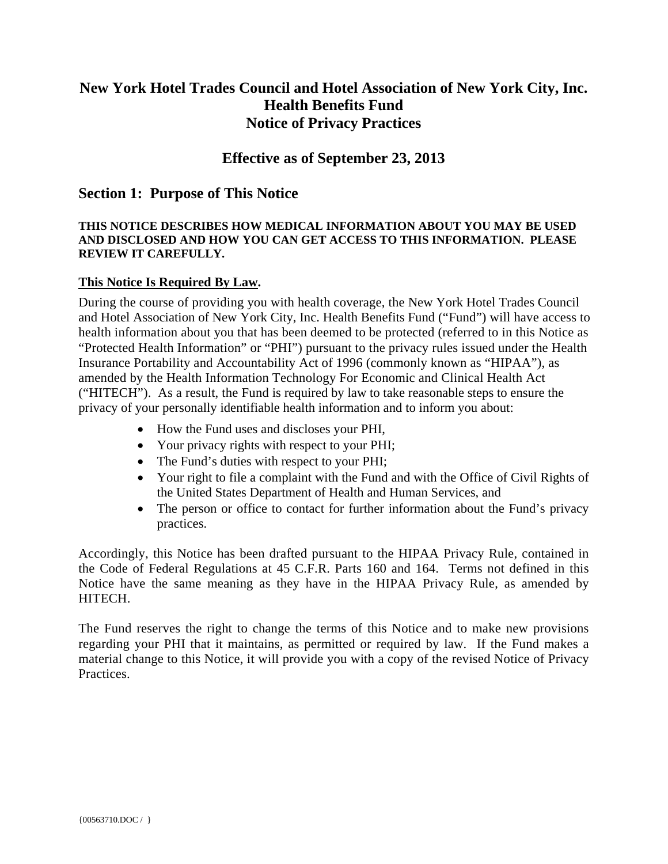# **New York Hotel Trades Council and Hotel Association of New York City, Inc. Health Benefits Fund Notice of Privacy Practices**

# **Effective as of September 23, 2013**

# **Section 1: Purpose of This Notice**

### **THIS NOTICE DESCRIBES HOW MEDICAL INFORMATION ABOUT YOU MAY BE USED AND DISCLOSED AND HOW YOU CAN GET ACCESS TO THIS INFORMATION. PLEASE REVIEW IT CAREFULLY.**

## **This Notice Is Required By Law.**

During the course of providing you with health coverage, the New York Hotel Trades Council and Hotel Association of New York City, Inc. Health Benefits Fund ("Fund") will have access to health information about you that has been deemed to be protected (referred to in this Notice as "Protected Health Information" or "PHI") pursuant to the privacy rules issued under the Health Insurance Portability and Accountability Act of 1996 (commonly known as "HIPAA"), as amended by the Health Information Technology For Economic and Clinical Health Act ("HITECH"). As a result, the Fund is required by law to take reasonable steps to ensure the privacy of your personally identifiable health information and to inform you about:

- How the Fund uses and discloses your PHI,
- Your privacy rights with respect to your PHI;
- The Fund's duties with respect to your PHI;
- Your right to file a complaint with the Fund and with the Office of Civil Rights of the United States Department of Health and Human Services, and
- The person or office to contact for further information about the Fund's privacy practices.

Accordingly, this Notice has been drafted pursuant to the HIPAA Privacy Rule, contained in the Code of Federal Regulations at 45 C.F.R. Parts 160 and 164. Terms not defined in this Notice have the same meaning as they have in the HIPAA Privacy Rule, as amended by HITECH.

The Fund reserves the right to change the terms of this Notice and to make new provisions regarding your PHI that it maintains, as permitted or required by law. If the Fund makes a material change to this Notice, it will provide you with a copy of the revised Notice of Privacy Practices.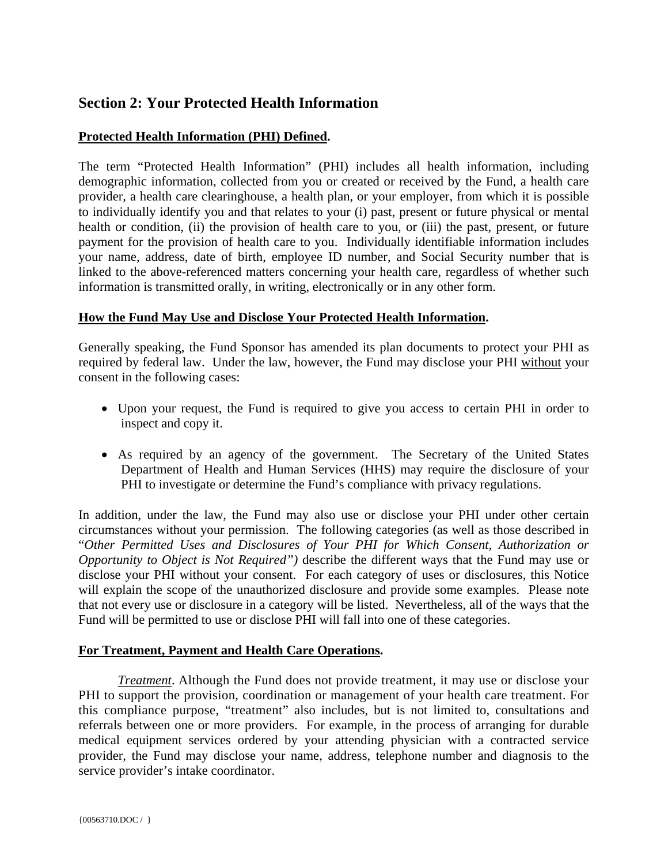# **Section 2: Your Protected Health Information**

# **Protected Health Information (PHI) Defined.**

The term "Protected Health Information" (PHI) includes all health information, including demographic information, collected from you or created or received by the Fund, a health care provider, a health care clearinghouse, a health plan, or your employer, from which it is possible to individually identify you and that relates to your (i) past, present or future physical or mental health or condition, (ii) the provision of health care to you, or (iii) the past, present, or future payment for the provision of health care to you. Individually identifiable information includes your name, address, date of birth, employee ID number, and Social Security number that is linked to the above-referenced matters concerning your health care, regardless of whether such information is transmitted orally, in writing, electronically or in any other form.

## **How the Fund May Use and Disclose Your Protected Health Information.**

Generally speaking, the Fund Sponsor has amended its plan documents to protect your PHI as required by federal law. Under the law, however, the Fund may disclose your PHI without your consent in the following cases:

- Upon your request, the Fund is required to give you access to certain PHI in order to inspect and copy it.
- As required by an agency of the government. The Secretary of the United States Department of Health and Human Services (HHS) may require the disclosure of your PHI to investigate or determine the Fund's compliance with privacy regulations.

In addition, under the law, the Fund may also use or disclose your PHI under other certain circumstances without your permission. The following categories (as well as those described in "*Other Permitted Uses and Disclosures of Your PHI for Which Consent, Authorization or Opportunity to Object is Not Required")* describe the different ways that the Fund may use or disclose your PHI without your consent. For each category of uses or disclosures, this Notice will explain the scope of the unauthorized disclosure and provide some examples. Please note that not every use or disclosure in a category will be listed. Nevertheless, all of the ways that the Fund will be permitted to use or disclose PHI will fall into one of these categories.

# **For Treatment, Payment and Health Care Operations.**

 *Treatment*. Although the Fund does not provide treatment, it may use or disclose your PHI to support the provision, coordination or management of your health care treatment. For this compliance purpose, "treatment" also includes, but is not limited to, consultations and referrals between one or more providers. For example, in the process of arranging for durable medical equipment services ordered by your attending physician with a contracted service provider, the Fund may disclose your name, address, telephone number and diagnosis to the service provider's intake coordinator.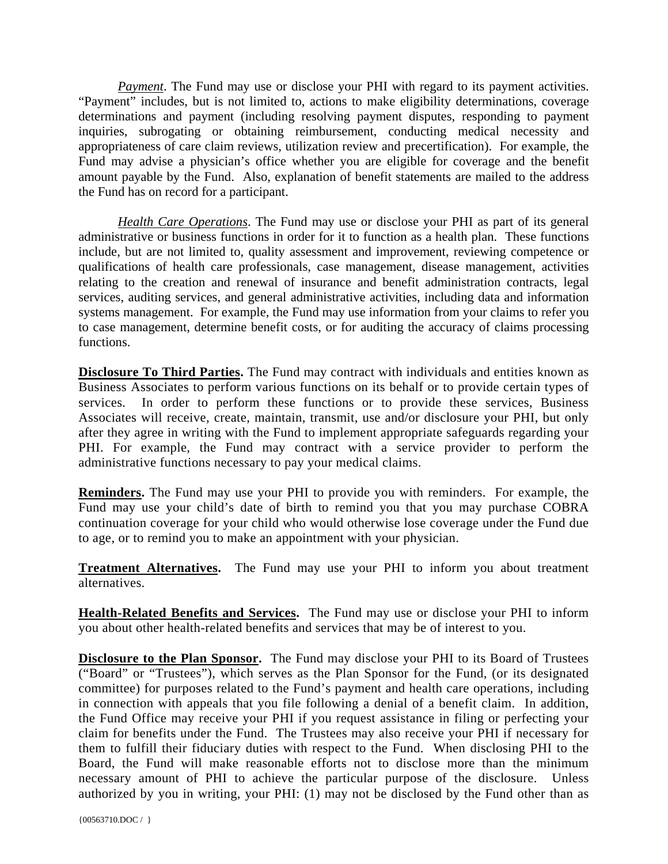*Payment*. The Fund may use or disclose your PHI with regard to its payment activities. "Payment" includes, but is not limited to, actions to make eligibility determinations, coverage determinations and payment (including resolving payment disputes, responding to payment inquiries, subrogating or obtaining reimbursement, conducting medical necessity and appropriateness of care claim reviews, utilization review and precertification). For example, the Fund may advise a physician's office whether you are eligible for coverage and the benefit amount payable by the Fund. Also, explanation of benefit statements are mailed to the address the Fund has on record for a participant.

*Health Care Operations*. The Fund may use or disclose your PHI as part of its general administrative or business functions in order for it to function as a health plan. These functions include, but are not limited to, quality assessment and improvement, reviewing competence or qualifications of health care professionals, case management, disease management, activities relating to the creation and renewal of insurance and benefit administration contracts, legal services, auditing services, and general administrative activities, including data and information systems management. For example, the Fund may use information from your claims to refer you to case management, determine benefit costs, or for auditing the accuracy of claims processing functions.

**Disclosure To Third Parties.** The Fund may contract with individuals and entities known as Business Associates to perform various functions on its behalf or to provide certain types of services. In order to perform these functions or to provide these services, Business Associates will receive, create, maintain, transmit, use and/or disclosure your PHI, but only after they agree in writing with the Fund to implement appropriate safeguards regarding your PHI. For example, the Fund may contract with a service provider to perform the administrative functions necessary to pay your medical claims.

**Reminders.** The Fund may use your PHI to provide you with reminders. For example, the Fund may use your child's date of birth to remind you that you may purchase COBRA continuation coverage for your child who would otherwise lose coverage under the Fund due to age, or to remind you to make an appointment with your physician.

**Treatment Alternatives.** The Fund may use your PHI to inform you about treatment alternatives.

**Health-Related Benefits and Services.** The Fund may use or disclose your PHI to inform you about other health-related benefits and services that may be of interest to you.

**Disclosure to the Plan Sponsor.** The Fund may disclose your PHI to its Board of Trustees ("Board" or "Trustees"), which serves as the Plan Sponsor for the Fund, (or its designated committee) for purposes related to the Fund's payment and health care operations, including in connection with appeals that you file following a denial of a benefit claim. In addition, the Fund Office may receive your PHI if you request assistance in filing or perfecting your claim for benefits under the Fund. The Trustees may also receive your PHI if necessary for them to fulfill their fiduciary duties with respect to the Fund. When disclosing PHI to the Board, the Fund will make reasonable efforts not to disclose more than the minimum necessary amount of PHI to achieve the particular purpose of the disclosure. Unless authorized by you in writing, your PHI: (1) may not be disclosed by the Fund other than as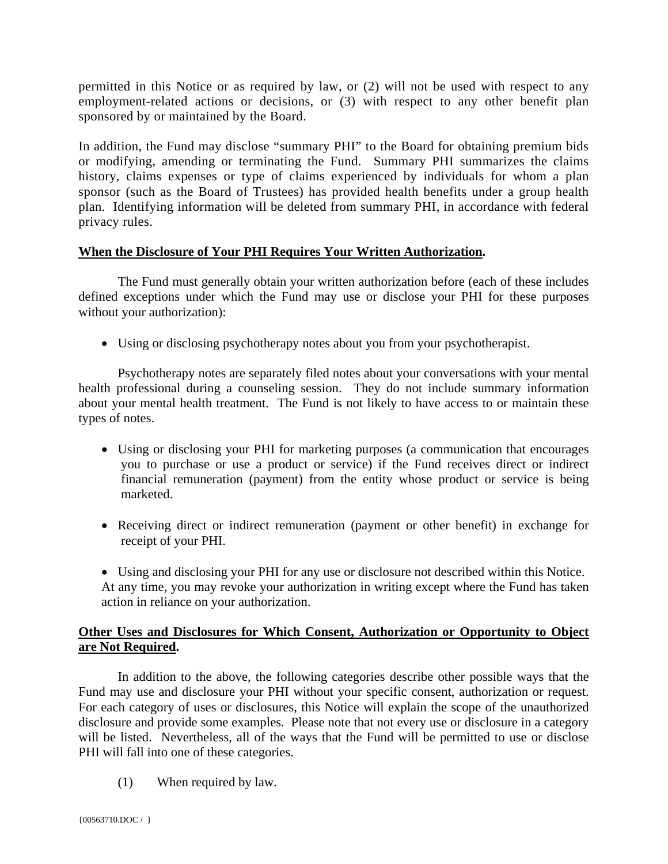permitted in this Notice or as required by law, or (2) will not be used with respect to any employment-related actions or decisions, or (3) with respect to any other benefit plan sponsored by or maintained by the Board.

In addition, the Fund may disclose "summary PHI" to the Board for obtaining premium bids or modifying, amending or terminating the Fund. Summary PHI summarizes the claims history, claims expenses or type of claims experienced by individuals for whom a plan sponsor (such as the Board of Trustees) has provided health benefits under a group health plan. Identifying information will be deleted from summary PHI, in accordance with federal privacy rules.

## **When the Disclosure of Your PHI Requires Your Written Authorization.**

 The Fund must generally obtain your written authorization before (each of these includes defined exceptions under which the Fund may use or disclose your PHI for these purposes without your authorization):

• Using or disclosing psychotherapy notes about you from your psychotherapist.

Psychotherapy notes are separately filed notes about your conversations with your mental health professional during a counseling session. They do not include summary information about your mental health treatment. The Fund is not likely to have access to or maintain these types of notes.

- Using or disclosing your PHI for marketing purposes (a communication that encourages you to purchase or use a product or service) if the Fund receives direct or indirect financial remuneration (payment) from the entity whose product or service is being marketed.
- Receiving direct or indirect remuneration (payment or other benefit) in exchange for receipt of your PHI.
- Using and disclosing your PHI for any use or disclosure not described within this Notice. At any time, you may revoke your authorization in writing except where the Fund has taken action in reliance on your authorization.

## **Other Uses and Disclosures for Which Consent, Authorization or Opportunity to Object are Not Required.**

 In addition to the above, the following categories describe other possible ways that the Fund may use and disclosure your PHI without your specific consent, authorization or request. For each category of uses or disclosures, this Notice will explain the scope of the unauthorized disclosure and provide some examples. Please note that not every use or disclosure in a category will be listed. Nevertheless, all of the ways that the Fund will be permitted to use or disclose PHI will fall into one of these categories.

(1) When required by law.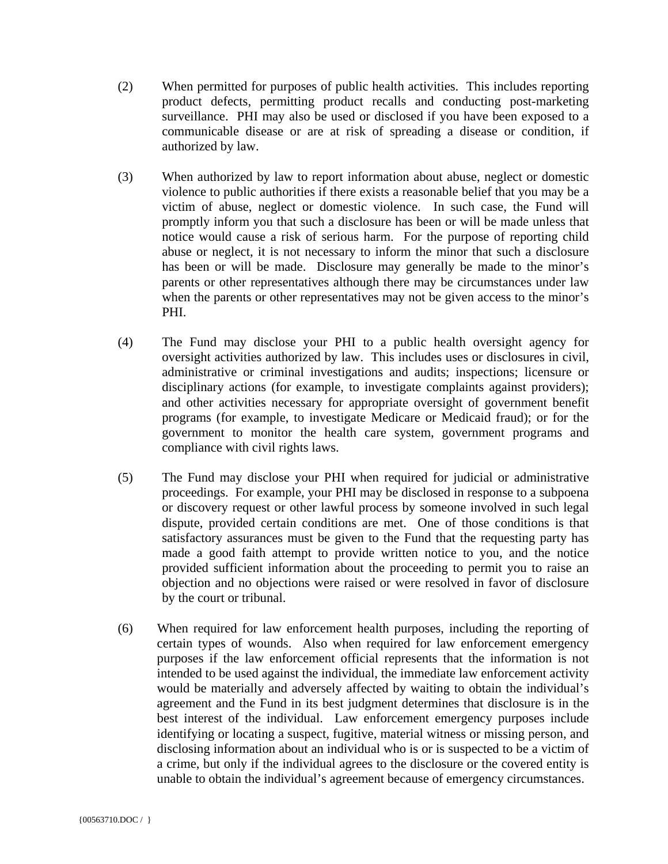- (2) When permitted for purposes of public health activities. This includes reporting product defects, permitting product recalls and conducting post-marketing surveillance. PHI may also be used or disclosed if you have been exposed to a communicable disease or are at risk of spreading a disease or condition, if authorized by law.
- (3) When authorized by law to report information about abuse, neglect or domestic violence to public authorities if there exists a reasonable belief that you may be a victim of abuse, neglect or domestic violence. In such case, the Fund will promptly inform you that such a disclosure has been or will be made unless that notice would cause a risk of serious harm. For the purpose of reporting child abuse or neglect, it is not necessary to inform the minor that such a disclosure has been or will be made. Disclosure may generally be made to the minor's parents or other representatives although there may be circumstances under law when the parents or other representatives may not be given access to the minor's PHI.
- (4) The Fund may disclose your PHI to a public health oversight agency for oversight activities authorized by law. This includes uses or disclosures in civil, administrative or criminal investigations and audits; inspections; licensure or disciplinary actions (for example, to investigate complaints against providers); and other activities necessary for appropriate oversight of government benefit programs (for example, to investigate Medicare or Medicaid fraud); or for the government to monitor the health care system, government programs and compliance with civil rights laws.
- (5) The Fund may disclose your PHI when required for judicial or administrative proceedings. For example, your PHI may be disclosed in response to a subpoena or discovery request or other lawful process by someone involved in such legal dispute, provided certain conditions are met. One of those conditions is that satisfactory assurances must be given to the Fund that the requesting party has made a good faith attempt to provide written notice to you, and the notice provided sufficient information about the proceeding to permit you to raise an objection and no objections were raised or were resolved in favor of disclosure by the court or tribunal.
- (6) When required for law enforcement health purposes, including the reporting of certain types of wounds. Also when required for law enforcement emergency purposes if the law enforcement official represents that the information is not intended to be used against the individual, the immediate law enforcement activity would be materially and adversely affected by waiting to obtain the individual's agreement and the Fund in its best judgment determines that disclosure is in the best interest of the individual. Law enforcement emergency purposes include identifying or locating a suspect, fugitive, material witness or missing person, and disclosing information about an individual who is or is suspected to be a victim of a crime, but only if the individual agrees to the disclosure or the covered entity is unable to obtain the individual's agreement because of emergency circumstances.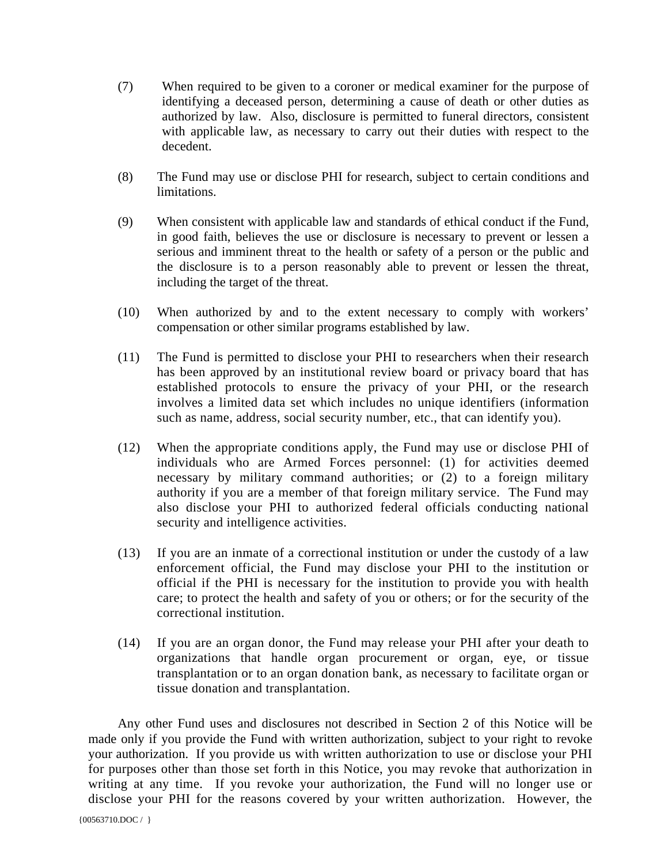- (7) When required to be given to a coroner or medical examiner for the purpose of identifying a deceased person, determining a cause of death or other duties as authorized by law. Also, disclosure is permitted to funeral directors, consistent with applicable law, as necessary to carry out their duties with respect to the decedent.
- (8) The Fund may use or disclose PHI for research, subject to certain conditions and limitations.
- (9) When consistent with applicable law and standards of ethical conduct if the Fund, in good faith, believes the use or disclosure is necessary to prevent or lessen a serious and imminent threat to the health or safety of a person or the public and the disclosure is to a person reasonably able to prevent or lessen the threat, including the target of the threat.
- (10) When authorized by and to the extent necessary to comply with workers' compensation or other similar programs established by law.
- (11) The Fund is permitted to disclose your PHI to researchers when their research has been approved by an institutional review board or privacy board that has established protocols to ensure the privacy of your PHI, or the research involves a limited data set which includes no unique identifiers (information such as name, address, social security number, etc., that can identify you).
- (12) When the appropriate conditions apply, the Fund may use or disclose PHI of individuals who are Armed Forces personnel: (1) for activities deemed necessary by military command authorities; or (2) to a foreign military authority if you are a member of that foreign military service. The Fund may also disclose your PHI to authorized federal officials conducting national security and intelligence activities.
- (13) If you are an inmate of a correctional institution or under the custody of a law enforcement official, the Fund may disclose your PHI to the institution or official if the PHI is necessary for the institution to provide you with health care; to protect the health and safety of you or others; or for the security of the correctional institution.
- (14) If you are an organ donor, the Fund may release your PHI after your death to organizations that handle organ procurement or organ, eye, or tissue transplantation or to an organ donation bank, as necessary to facilitate organ or tissue donation and transplantation.

Any other Fund uses and disclosures not described in Section 2 of this Notice will be made only if you provide the Fund with written authorization, subject to your right to revoke your authorization. If you provide us with written authorization to use or disclose your PHI for purposes other than those set forth in this Notice, you may revoke that authorization in writing at any time. If you revoke your authorization, the Fund will no longer use or disclose your PHI for the reasons covered by your written authorization. However, the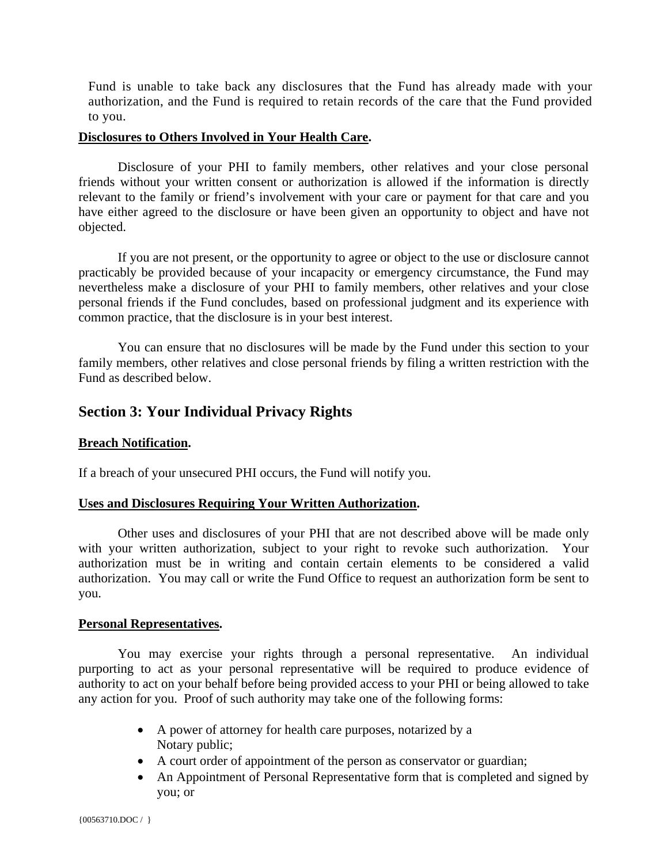Fund is unable to take back any disclosures that the Fund has already made with your authorization, and the Fund is required to retain records of the care that the Fund provided to you.

#### **Disclosures to Others Involved in Your Health Care.**

Disclosure of your PHI to family members, other relatives and your close personal friends without your written consent or authorization is allowed if the information is directly relevant to the family or friend's involvement with your care or payment for that care and you have either agreed to the disclosure or have been given an opportunity to object and have not objected.

If you are not present, or the opportunity to agree or object to the use or disclosure cannot practicably be provided because of your incapacity or emergency circumstance, the Fund may nevertheless make a disclosure of your PHI to family members, other relatives and your close personal friends if the Fund concludes, based on professional judgment and its experience with common practice, that the disclosure is in your best interest.

You can ensure that no disclosures will be made by the Fund under this section to your family members, other relatives and close personal friends by filing a written restriction with the Fund as described below.

# **Section 3: Your Individual Privacy Rights**

### **Breach Notification.**

If a breach of your unsecured PHI occurs, the Fund will notify you.

### **Uses and Disclosures Requiring Your Written Authorization.**

 Other uses and disclosures of your PHI that are not described above will be made only with your written authorization, subject to your right to revoke such authorization. Your authorization must be in writing and contain certain elements to be considered a valid authorization. You may call or write the Fund Office to request an authorization form be sent to you.

### **Personal Representatives.**

 You may exercise your rights through a personal representative. An individual purporting to act as your personal representative will be required to produce evidence of authority to act on your behalf before being provided access to your PHI or being allowed to take any action for you. Proof of such authority may take one of the following forms:

- A power of attorney for health care purposes, notarized by a Notary public;
- A court order of appointment of the person as conservator or guardian;
- An Appointment of Personal Representative form that is completed and signed by you; or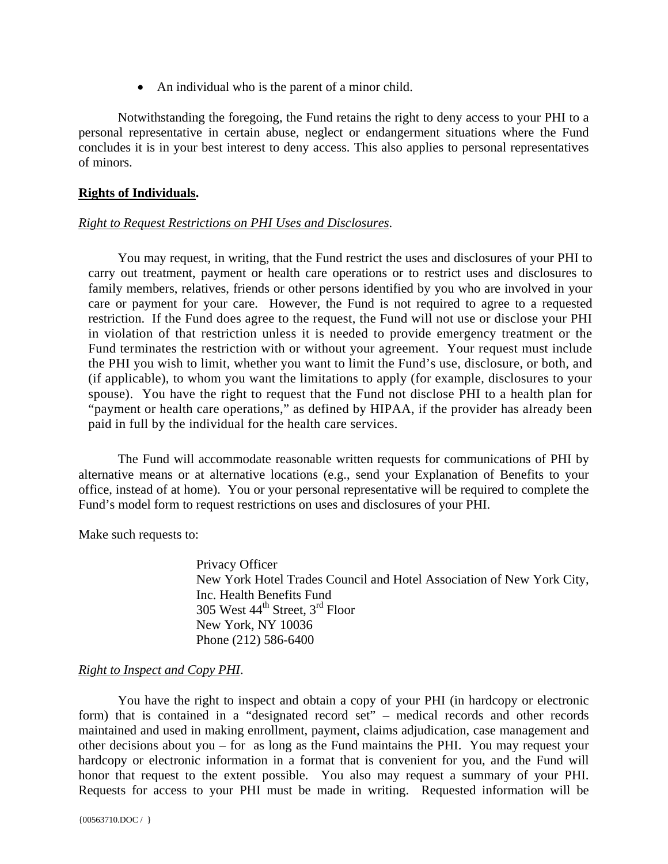• An individual who is the parent of a minor child.

 Notwithstanding the foregoing, the Fund retains the right to deny access to your PHI to a personal representative in certain abuse, neglect or endangerment situations where the Fund concludes it is in your best interest to deny access. This also applies to personal representatives of minors.

### **Rights of Individuals.**

### *Right to Request Restrictions on PHI Uses and Disclosures*.

You may request, in writing, that the Fund restrict the uses and disclosures of your PHI to carry out treatment, payment or health care operations or to restrict uses and disclosures to family members, relatives, friends or other persons identified by you who are involved in your care or payment for your care. However, the Fund is not required to agree to a requested restriction. If the Fund does agree to the request, the Fund will not use or disclose your PHI in violation of that restriction unless it is needed to provide emergency treatment or the Fund terminates the restriction with or without your agreement. Your request must include the PHI you wish to limit, whether you want to limit the Fund's use, disclosure, or both, and (if applicable), to whom you want the limitations to apply (for example, disclosures to your spouse). You have the right to request that the Fund not disclose PHI to a health plan for "payment or health care operations," as defined by HIPAA, if the provider has already been paid in full by the individual for the health care services.

 The Fund will accommodate reasonable written requests for communications of PHI by alternative means or at alternative locations (e.g., send your Explanation of Benefits to your office, instead of at home). You or your personal representative will be required to complete the Fund's model form to request restrictions on uses and disclosures of your PHI.

Make such requests to:

Privacy Officer New York Hotel Trades Council and Hotel Association of New York City, Inc. Health Benefits Fund 305 West 44th Street, 3rd Floor New York, NY 10036 Phone (212) 586-6400

### *Right to Inspect and Copy PHI*.

 You have the right to inspect and obtain a copy of your PHI (in hardcopy or electronic form) that is contained in a "designated record set" – medical records and other records maintained and used in making enrollment, payment, claims adjudication, case management and other decisions about you – for as long as the Fund maintains the PHI. You may request your hardcopy or electronic information in a format that is convenient for you, and the Fund will honor that request to the extent possible. You also may request a summary of your PHI. Requests for access to your PHI must be made in writing. Requested information will be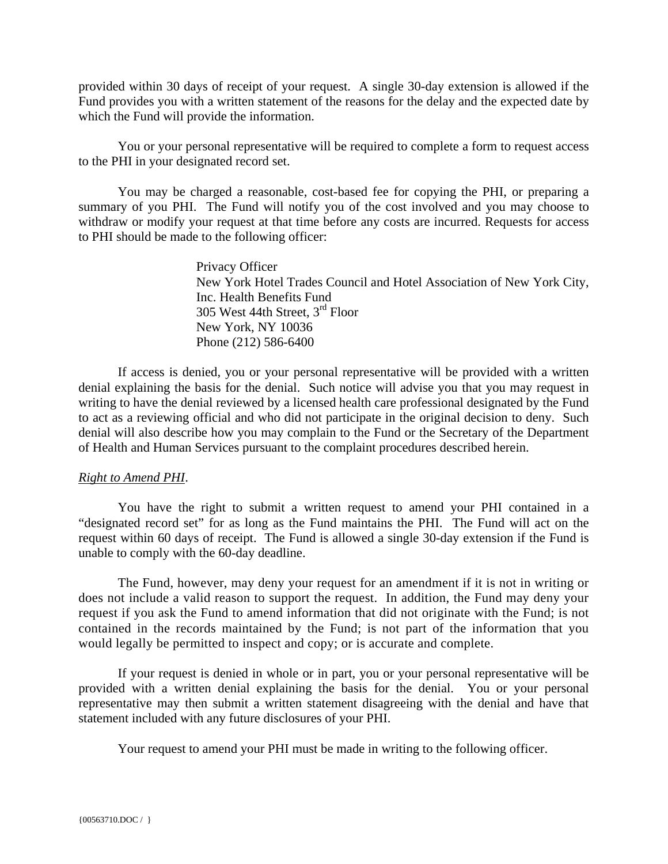provided within 30 days of receipt of your request. A single 30-day extension is allowed if the Fund provides you with a written statement of the reasons for the delay and the expected date by which the Fund will provide the information.

You or your personal representative will be required to complete a form to request access to the PHI in your designated record set.

You may be charged a reasonable, cost-based fee for copying the PHI, or preparing a summary of you PHI. The Fund will notify you of the cost involved and you may choose to withdraw or modify your request at that time before any costs are incurred. Requests for access to PHI should be made to the following officer:

> Privacy Officer New York Hotel Trades Council and Hotel Association of New York City, Inc. Health Benefits Fund 305 West 44th Street, 3rd Floor New York, NY 10036 Phone (212) 586-6400

 If access is denied, you or your personal representative will be provided with a written denial explaining the basis for the denial. Such notice will advise you that you may request in writing to have the denial reviewed by a licensed health care professional designated by the Fund to act as a reviewing official and who did not participate in the original decision to deny. Such denial will also describe how you may complain to the Fund or the Secretary of the Department of Health and Human Services pursuant to the complaint procedures described herein.

### *Right to Amend PHI*.

 You have the right to submit a written request to amend your PHI contained in a "designated record set" for as long as the Fund maintains the PHI. The Fund will act on the request within 60 days of receipt. The Fund is allowed a single 30-day extension if the Fund is unable to comply with the 60-day deadline.

 The Fund, however, may deny your request for an amendment if it is not in writing or does not include a valid reason to support the request. In addition, the Fund may deny your request if you ask the Fund to amend information that did not originate with the Fund; is not contained in the records maintained by the Fund; is not part of the information that you would legally be permitted to inspect and copy; or is accurate and complete.

If your request is denied in whole or in part, you or your personal representative will be provided with a written denial explaining the basis for the denial. You or your personal representative may then submit a written statement disagreeing with the denial and have that statement included with any future disclosures of your PHI.

Your request to amend your PHI must be made in writing to the following officer.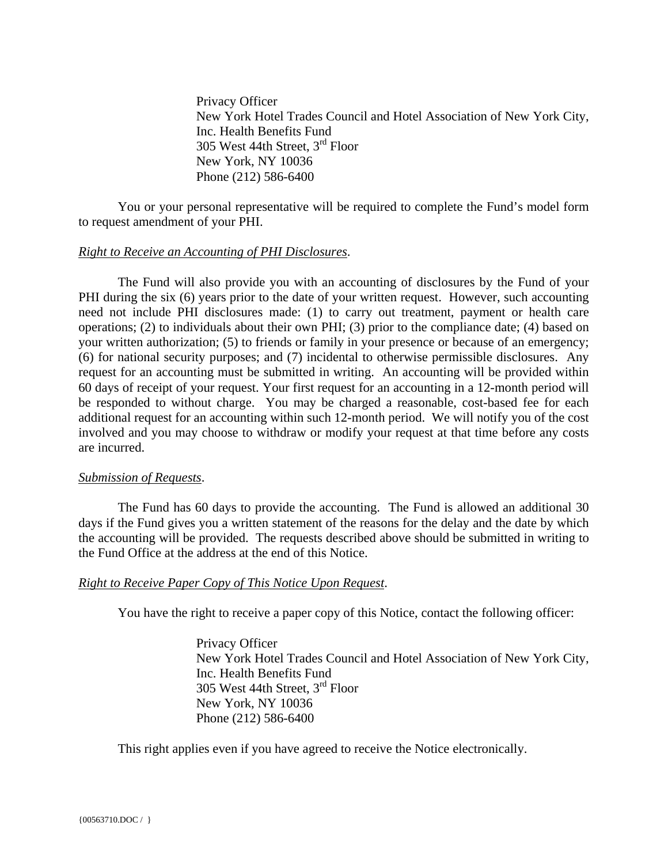Privacy Officer New York Hotel Trades Council and Hotel Association of New York City, Inc. Health Benefits Fund 305 West 44th Street, 3rd Floor New York, NY 10036 Phone (212) 586-6400

 You or your personal representative will be required to complete the Fund's model form to request amendment of your PHI.

### *Right to Receive an Accounting of PHI Disclosures*.

 The Fund will also provide you with an accounting of disclosures by the Fund of your PHI during the six (6) years prior to the date of your written request. However, such accounting need not include PHI disclosures made: (1) to carry out treatment, payment or health care operations; (2) to individuals about their own PHI; (3) prior to the compliance date; (4) based on your written authorization; (5) to friends or family in your presence or because of an emergency; (6) for national security purposes; and (7) incidental to otherwise permissible disclosures. Any request for an accounting must be submitted in writing. An accounting will be provided within 60 days of receipt of your request. Your first request for an accounting in a 12-month period will be responded to without charge. You may be charged a reasonable, cost-based fee for each additional request for an accounting within such 12-month period. We will notify you of the cost involved and you may choose to withdraw or modify your request at that time before any costs are incurred.

#### *Submission of Requests*.

 The Fund has 60 days to provide the accounting. The Fund is allowed an additional 30 days if the Fund gives you a written statement of the reasons for the delay and the date by which the accounting will be provided. The requests described above should be submitted in writing to the Fund Office at the address at the end of this Notice.

#### *Right to Receive Paper Copy of This Notice Upon Request*.

You have the right to receive a paper copy of this Notice, contact the following officer:

Privacy Officer New York Hotel Trades Council and Hotel Association of New York City, Inc. Health Benefits Fund 305 West 44th Street, 3rd Floor New York, NY 10036 Phone (212) 586-6400

This right applies even if you have agreed to receive the Notice electronically.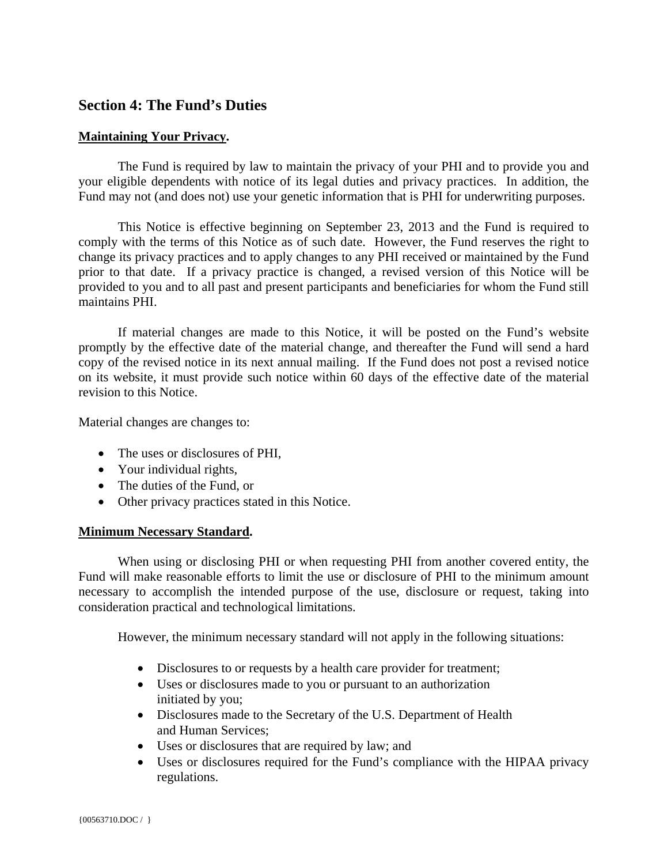# **Section 4: The Fund's Duties**

### **Maintaining Your Privacy.**

The Fund is required by law to maintain the privacy of your PHI and to provide you and your eligible dependents with notice of its legal duties and privacy practices. In addition, the Fund may not (and does not) use your genetic information that is PHI for underwriting purposes.

 This Notice is effective beginning on September 23, 2013 and the Fund is required to comply with the terms of this Notice as of such date. However, the Fund reserves the right to change its privacy practices and to apply changes to any PHI received or maintained by the Fund prior to that date. If a privacy practice is changed, a revised version of this Notice will be provided to you and to all past and present participants and beneficiaries for whom the Fund still maintains PHI.

 If material changes are made to this Notice, it will be posted on the Fund's website promptly by the effective date of the material change, and thereafter the Fund will send a hard copy of the revised notice in its next annual mailing. If the Fund does not post a revised notice on its website, it must provide such notice within 60 days of the effective date of the material revision to this Notice.

Material changes are changes to:

- The uses or disclosures of PHI,
- Your individual rights,
- The duties of the Fund, or
- Other privacy practices stated in this Notice.

### **Minimum Necessary Standard.**

 When using or disclosing PHI or when requesting PHI from another covered entity, the Fund will make reasonable efforts to limit the use or disclosure of PHI to the minimum amount necessary to accomplish the intended purpose of the use, disclosure or request, taking into consideration practical and technological limitations.

However, the minimum necessary standard will not apply in the following situations:

- Disclosures to or requests by a health care provider for treatment;
- Uses or disclosures made to you or pursuant to an authorization initiated by you;
- Disclosures made to the Secretary of the U.S. Department of Health and Human Services;
- Uses or disclosures that are required by law; and
- Uses or disclosures required for the Fund's compliance with the HIPAA privacy regulations.